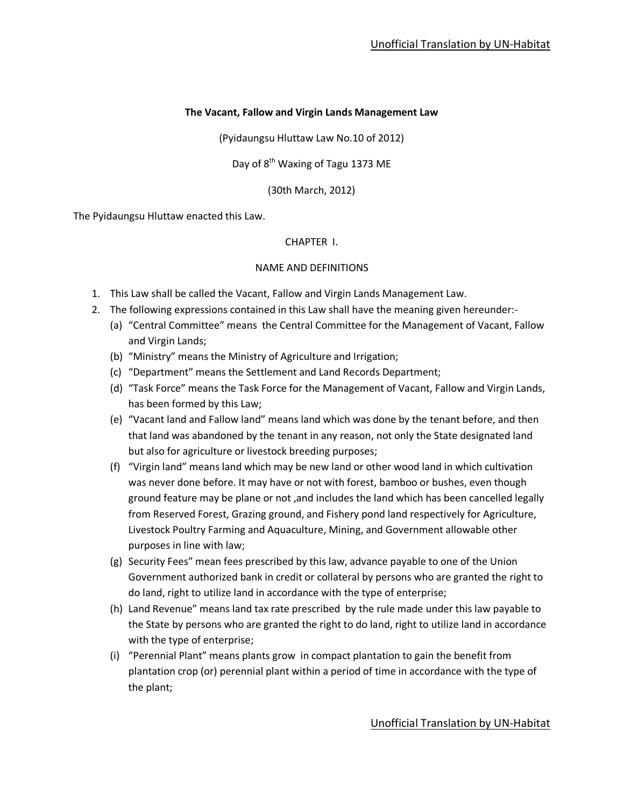## **The Vacant, Fallow and Virgin Lands Management Law**

(Pyidaungsu Hluttaw Law No.10 of 2012)

Day of 8<sup>th</sup> Waxing of Tagu 1373 ME

(30th March, 2012)

The Pyidaungsu Hluttaw enacted this Law.

#### CHAPTER I.

#### NAME AND DEFINITIONS

- 1. This Law shall be called the Vacant, Fallow and Virgin Lands Management Law.
- 2. The following expressions contained in this Law shall have the meaning given hereunder:-
	- (a) "Central Committee" means the Central Committee for the Management of Vacant, Fallow and Virgin Lands;
	- (b) "Ministry" means the Ministry of Agriculture and Irrigation;
	- (c) "Department" means the Settlement and Land Records Department;
	- (d) "Task Force" means the Task Force for the Management of Vacant, Fallow and Virgin Lands, has been formed by this Law;
	- (e) "Vacant land and Fallow land" means land which was done by the tenant before, and then that land was abandoned by the tenant in any reason, not only the State designated land but also for agriculture or livestock breeding purposes;
	- (f) "Virgin land" means land which may be new land or other wood land in which cultivation was never done before. It may have or not with forest, bamboo or bushes, even though ground feature may be plane or not ,and includes the land which has been cancelled legally from Reserved Forest, Grazing ground, and Fishery pond land respectively for Agriculture, Livestock Poultry Farming and Aquaculture, Mining, and Government allowable other purposes in line with law;
	- (g) Security Fees" mean fees prescribed by this law, advance payable to one of the Union Government authorized bank in credit or collateral by persons who are granted the right to do land, right to utilize land in accordance with the type of enterprise;
	- (h) Land Revenue" means land tax rate prescribed by the rule made under this law payable to the State by persons who are granted the right to do land, right to utilize land in accordance with the type of enterprise;
	- (i) "Perennial Plant" means plants grow in compact plantation to gain the benefit from plantation crop (or) perennial plant within a period of time in accordance with the type of the plant;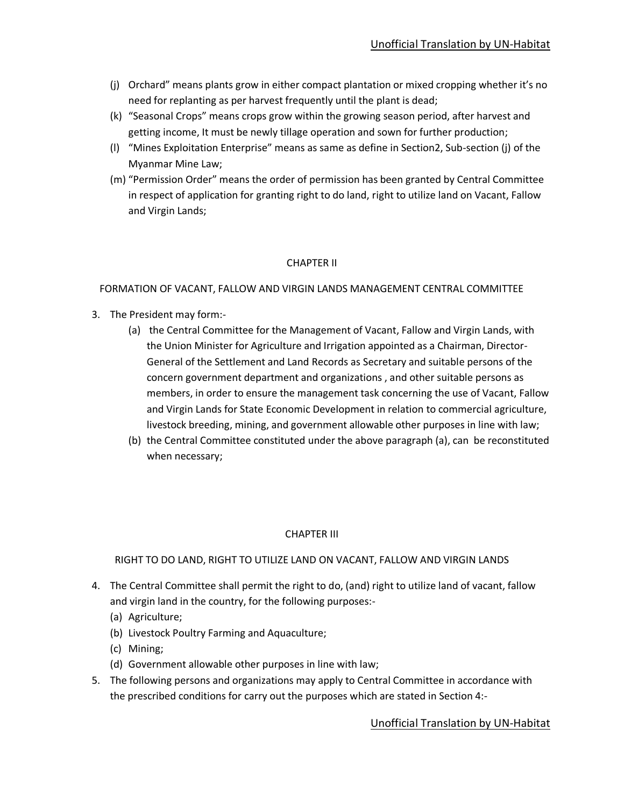- (j) Orchard" means plants grow in either compact plantation or mixed cropping whether it's no need for replanting as per harvest frequently until the plant is dead;
- (k) "Seasonal Crops" means crops grow within the growing season period, after harvest and getting income, It must be newly tillage operation and sown for further production;
- (l) "Mines Exploitation Enterprise" means as same as define in Section2, Sub-section (j) of the Myanmar Mine Law;
- (m) "Permission Order" means the order of permission has been granted by Central Committee in respect of application for granting right to do land, right to utilize land on Vacant, Fallow and Virgin Lands;

## CHAPTER II

#### FORMATION OF VACANT, FALLOW AND VIRGIN LANDS MANAGEMENT CENTRAL COMMITTEE

- 3. The President may form:-
	- (a) the Central Committee for the Management of Vacant, Fallow and Virgin Lands, with the Union Minister for Agriculture and Irrigation appointed as a Chairman, Director-General of the Settlement and Land Records as Secretary and suitable persons of the concern government department and organizations , and other suitable persons as members, in order to ensure the management task concerning the use of Vacant, Fallow and Virgin Lands for State Economic Development in relation to commercial agriculture, livestock breeding, mining, and government allowable other purposes in line with law;
	- (b) the Central Committee constituted under the above paragraph (a), can be reconstituted when necessary;

#### CHAPTER III

## RIGHT TO DO LAND, RIGHT TO UTILIZE LAND ON VACANT, FALLOW AND VIRGIN LANDS

- 4. The Central Committee shall permit the right to do, (and) right to utilize land of vacant, fallow and virgin land in the country, for the following purposes:-
	- (a) Agriculture;
	- (b) Livestock Poultry Farming and Aquaculture;
	- (c) Mining;
	- (d) Government allowable other purposes in line with law;
- 5. The following persons and organizations may apply to Central Committee in accordance with the prescribed conditions for carry out the purposes which are stated in Section 4:-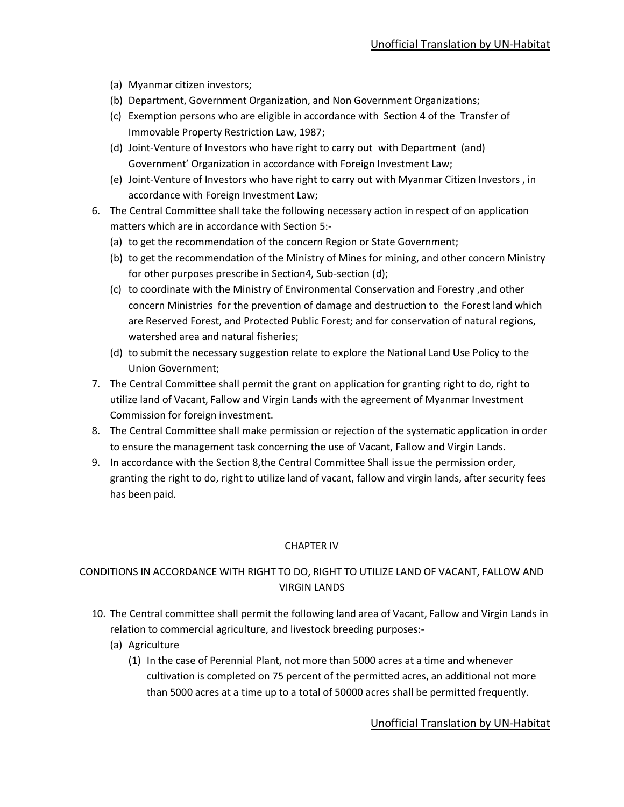- (a) Myanmar citizen investors;
- (b) Department, Government Organization, and Non Government Organizations;
- (c) Exemption persons who are eligible in accordance with Section 4 of the Transfer of Immovable Property Restriction Law, 1987;
- (d) Joint-Venture of Investors who have right to carry out with Department (and) Government' Organization in accordance with Foreign Investment Law;
- (e) Joint-Venture of Investors who have right to carry out with Myanmar Citizen Investors , in accordance with Foreign Investment Law;
- 6. The Central Committee shall take the following necessary action in respect of on application matters which are in accordance with Section 5:-
	- (a) to get the recommendation of the concern Region or State Government;
	- (b) to get the recommendation of the Ministry of Mines for mining, and other concern Ministry for other purposes prescribe in Section4, Sub-section (d);
	- (c) to coordinate with the Ministry of Environmental Conservation and Forestry ,and other concern Ministries for the prevention of damage and destruction to the Forest land which are Reserved Forest, and Protected Public Forest; and for conservation of natural regions, watershed area and natural fisheries;
	- (d) to submit the necessary suggestion relate to explore the National Land Use Policy to the Union Government;
- 7. The Central Committee shall permit the grant on application for granting right to do, right to utilize land of Vacant, Fallow and Virgin Lands with the agreement of Myanmar Investment Commission for foreign investment.
- 8. The Central Committee shall make permission or rejection of the systematic application in order to ensure the management task concerning the use of Vacant, Fallow and Virgin Lands.
- 9. In accordance with the Section 8,the Central Committee Shall issue the permission order, granting the right to do, right to utilize land of vacant, fallow and virgin lands, after security fees has been paid.

## CHAPTER IV

# CONDITIONS IN ACCORDANCE WITH RIGHT TO DO, RIGHT TO UTILIZE LAND OF VACANT, FALLOW AND VIRGIN LANDS

- 10. The Central committee shall permit the following land area of Vacant, Fallow and Virgin Lands in relation to commercial agriculture, and livestock breeding purposes:-
	- (a) Agriculture
		- (1) In the case of Perennial Plant, not more than 5000 acres at a time and whenever cultivation is completed on 75 percent of the permitted acres, an additional not more than 5000 acres at a time up to a total of 50000 acres shall be permitted frequently.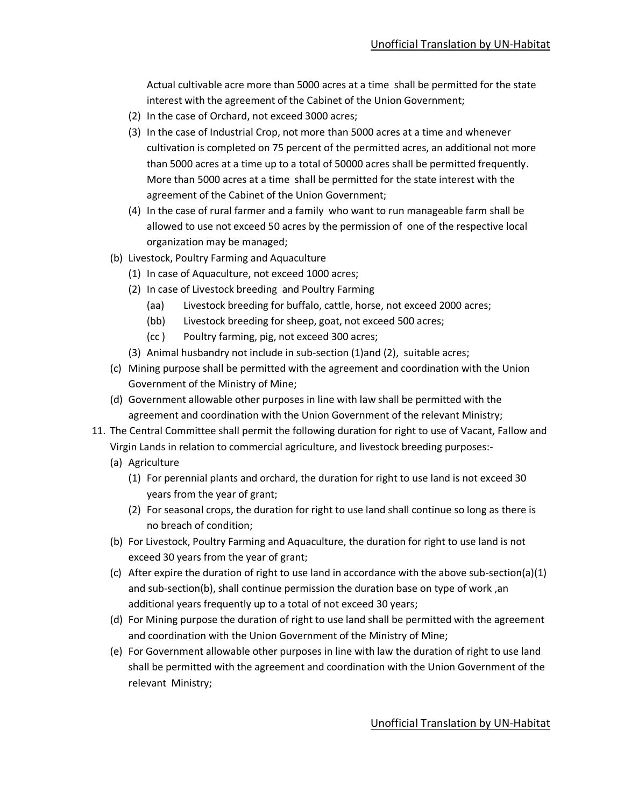Actual cultivable acre more than 5000 acres at a time shall be permitted for the state interest with the agreement of the Cabinet of the Union Government;

- (2) In the case of Orchard, not exceed 3000 acres;
- (3) In the case of Industrial Crop, not more than 5000 acres at a time and whenever cultivation is completed on 75 percent of the permitted acres, an additional not more than 5000 acres at a time up to a total of 50000 acres shall be permitted frequently. More than 5000 acres at a time shall be permitted for the state interest with the agreement of the Cabinet of the Union Government;
- (4) In the case of rural farmer and a family who want to run manageable farm shall be allowed to use not exceed 50 acres by the permission of one of the respective local organization may be managed;
- (b) Livestock, Poultry Farming and Aquaculture
	- (1) In case of Aquaculture, not exceed 1000 acres;
	- (2) In case of Livestock breeding and Poultry Farming
		- (aa) Livestock breeding for buffalo, cattle, horse, not exceed 2000 acres;
		- (bb) Livestock breeding for sheep, goat, not exceed 500 acres;
		- (cc ) Poultry farming, pig, not exceed 300 acres;
	- (3) Animal husbandry not include in sub-section (1)and (2), suitable acres;
- (c) Mining purpose shall be permitted with the agreement and coordination with the Union Government of the Ministry of Mine;
- (d) Government allowable other purposes in line with law shall be permitted with the agreement and coordination with the Union Government of the relevant Ministry;
- 11. The Central Committee shall permit the following duration for right to use of Vacant, Fallow and Virgin Lands in relation to commercial agriculture, and livestock breeding purposes:-
	- (a) Agriculture
		- (1) For perennial plants and orchard, the duration for right to use land is not exceed 30 years from the year of grant;
		- (2) For seasonal crops, the duration for right to use land shall continue so long as there is no breach of condition;
	- (b) For Livestock, Poultry Farming and Aquaculture, the duration for right to use land is not exceed 30 years from the year of grant;
	- (c) After expire the duration of right to use land in accordance with the above sub-section(a)(1) and sub-section(b), shall continue permission the duration base on type of work ,an additional years frequently up to a total of not exceed 30 years;
	- (d) For Mining purpose the duration of right to use land shall be permitted with the agreement and coordination with the Union Government of the Ministry of Mine;
	- (e) For Government allowable other purposes in line with law the duration of right to use land shall be permitted with the agreement and coordination with the Union Government of the relevant Ministry;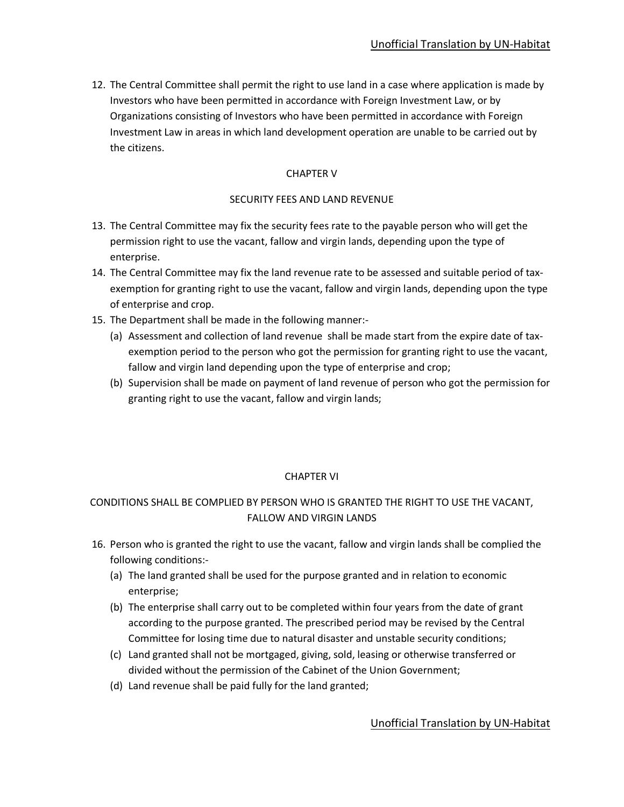12. The Central Committee shall permit the right to use land in a case where application is made by Investors who have been permitted in accordance with Foreign Investment Law, or by Organizations consisting of Investors who have been permitted in accordance with Foreign Investment Law in areas in which land development operation are unable to be carried out by the citizens.

## CHAPTER V

## SECURITY FEES AND LAND REVENUE

- 13. The Central Committee may fix the security fees rate to the payable person who will get the permission right to use the vacant, fallow and virgin lands, depending upon the type of enterprise.
- 14. The Central Committee may fix the land revenue rate to be assessed and suitable period of taxexemption for granting right to use the vacant, fallow and virgin lands, depending upon the type of enterprise and crop.
- 15. The Department shall be made in the following manner:-
	- (a) Assessment and collection of land revenue shall be made start from the expire date of taxexemption period to the person who got the permission for granting right to use the vacant, fallow and virgin land depending upon the type of enterprise and crop;
	- (b) Supervision shall be made on payment of land revenue of person who got the permission for granting right to use the vacant, fallow and virgin lands;

## CHAPTER VI

# CONDITIONS SHALL BE COMPLIED BY PERSON WHO IS GRANTED THE RIGHT TO USE THE VACANT, FALLOW AND VIRGIN LANDS

- 16. Person who is granted the right to use the vacant, fallow and virgin lands shall be complied the following conditions:-
	- (a) The land granted shall be used for the purpose granted and in relation to economic enterprise;
	- (b) The enterprise shall carry out to be completed within four years from the date of grant according to the purpose granted. The prescribed period may be revised by the Central Committee for losing time due to natural disaster and unstable security conditions;
	- (c) Land granted shall not be mortgaged, giving, sold, leasing or otherwise transferred or divided without the permission of the Cabinet of the Union Government;
	- (d) Land revenue shall be paid fully for the land granted;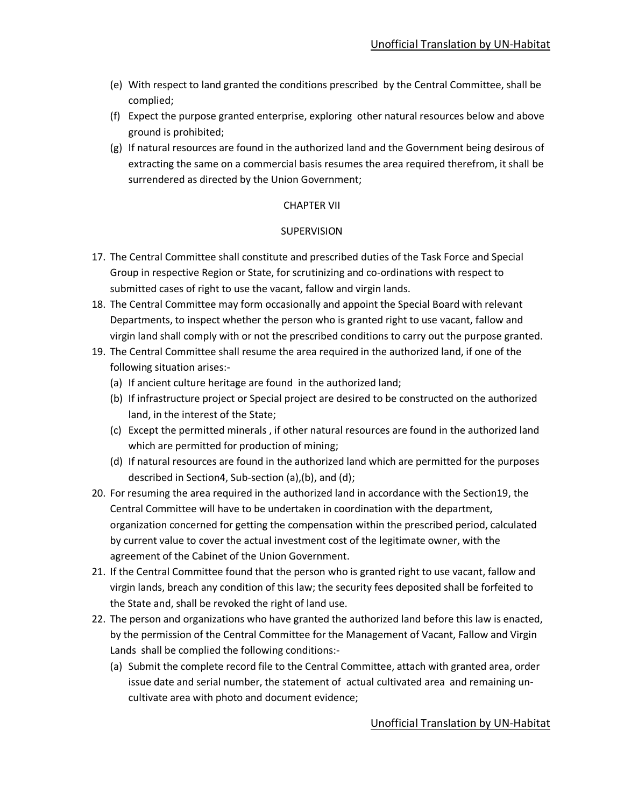- (e) With respect to land granted the conditions prescribed by the Central Committee, shall be complied;
- (f) Expect the purpose granted enterprise, exploring other natural resources below and above ground is prohibited;
- (g) If natural resources are found in the authorized land and the Government being desirous of extracting the same on a commercial basis resumes the area required therefrom, it shall be surrendered as directed by the Union Government;

#### CHAPTER VII

#### **SUPERVISION**

- 17. The Central Committee shall constitute and prescribed duties of the Task Force and Special Group in respective Region or State, for scrutinizing and co-ordinations with respect to submitted cases of right to use the vacant, fallow and virgin lands.
- 18. The Central Committee may form occasionally and appoint the Special Board with relevant Departments, to inspect whether the person who is granted right to use vacant, fallow and virgin land shall comply with or not the prescribed conditions to carry out the purpose granted.
- 19. The Central Committee shall resume the area required in the authorized land, if one of the following situation arises:-
	- (a) If ancient culture heritage are found in the authorized land;
	- (b) If infrastructure project or Special project are desired to be constructed on the authorized land, in the interest of the State;
	- (c) Except the permitted minerals , if other natural resources are found in the authorized land which are permitted for production of mining;
	- (d) If natural resources are found in the authorized land which are permitted for the purposes described in Section4, Sub-section (a),(b), and (d);
- 20. For resuming the area required in the authorized land in accordance with the Section19, the Central Committee will have to be undertaken in coordination with the department, organization concerned for getting the compensation within the prescribed period, calculated by current value to cover the actual investment cost of the legitimate owner, with the agreement of the Cabinet of the Union Government.
- 21. If the Central Committee found that the person who is granted right to use vacant, fallow and virgin lands, breach any condition of this law; the security fees deposited shall be forfeited to the State and, shall be revoked the right of land use.
- 22. The person and organizations who have granted the authorized land before this law is enacted, by the permission of the Central Committee for the Management of Vacant, Fallow and Virgin Lands shall be complied the following conditions:-
	- (a) Submit the complete record file to the Central Committee, attach with granted area, order issue date and serial number, the statement of actual cultivated area and remaining uncultivate area with photo and document evidence;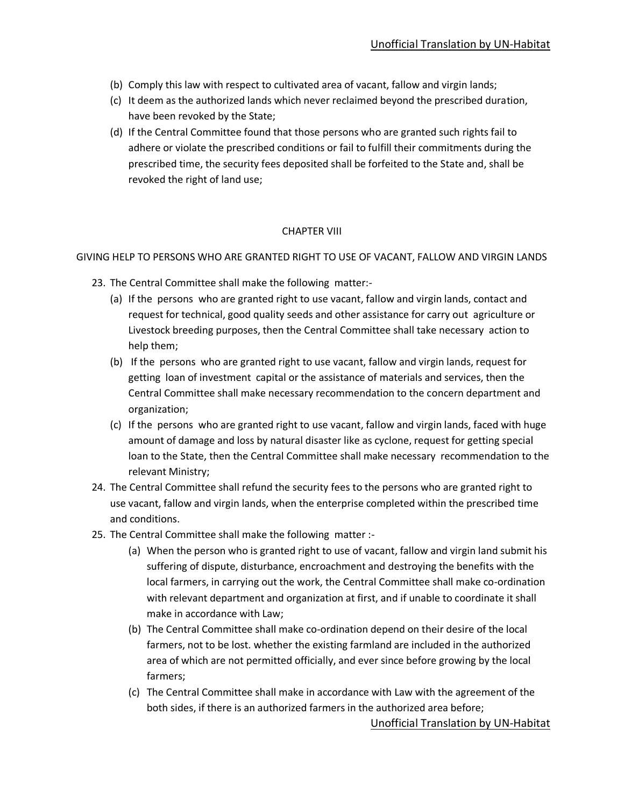- (b) Comply this law with respect to cultivated area of vacant, fallow and virgin lands;
- (c) It deem as the authorized lands which never reclaimed beyond the prescribed duration, have been revoked by the State;
- (d) If the Central Committee found that those persons who are granted such rights fail to adhere or violate the prescribed conditions or fail to fulfill their commitments during the prescribed time, the security fees deposited shall be forfeited to the State and, shall be revoked the right of land use;

#### CHAPTER VIII

GIVING HELP TO PERSONS WHO ARE GRANTED RIGHT TO USE OF VACANT, FALLOW AND VIRGIN LANDS

- 23. The Central Committee shall make the following matter:-
	- (a) If the persons who are granted right to use vacant, fallow and virgin lands, contact and request for technical, good quality seeds and other assistance for carry out agriculture or Livestock breeding purposes, then the Central Committee shall take necessary action to help them;
	- (b) If the persons who are granted right to use vacant, fallow and virgin lands, request for getting loan of investment capital or the assistance of materials and services, then the Central Committee shall make necessary recommendation to the concern department and organization;
	- (c) If the persons who are granted right to use vacant, fallow and virgin lands, faced with huge amount of damage and loss by natural disaster like as cyclone, request for getting special loan to the State, then the Central Committee shall make necessary recommendation to the relevant Ministry;
- 24. The Central Committee shall refund the security fees to the persons who are granted right to use vacant, fallow and virgin lands, when the enterprise completed within the prescribed time and conditions.
- 25. The Central Committee shall make the following matter :-
	- (a) When the person who is granted right to use of vacant, fallow and virgin land submit his suffering of dispute, disturbance, encroachment and destroying the benefits with the local farmers, in carrying out the work, the Central Committee shall make co-ordination with relevant department and organization at first, and if unable to coordinate it shall make in accordance with Law;
	- (b) The Central Committee shall make co-ordination depend on their desire of the local farmers, not to be lost. whether the existing farmland are included in the authorized area of which are not permitted officially, and ever since before growing by the local farmers;
	- (c) The Central Committee shall make in accordance with Law with the agreement of the both sides, if there is an authorized farmers in the authorized area before;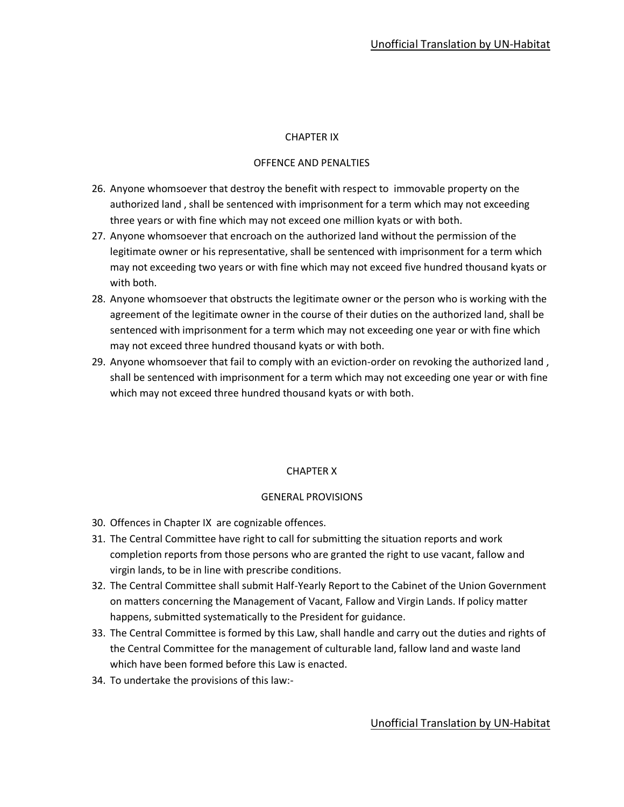#### CHAPTER IX

#### OFFENCE AND PENALTIES

- 26. Anyone whomsoever that destroy the benefit with respect to immovable property on the authorized land , shall be sentenced with imprisonment for a term which may not exceeding three years or with fine which may not exceed one million kyats or with both.
- 27. Anyone whomsoever that encroach on the authorized land without the permission of the legitimate owner or his representative, shall be sentenced with imprisonment for a term which may not exceeding two years or with fine which may not exceed five hundred thousand kyats or with both.
- 28. Anyone whomsoever that obstructs the legitimate owner or the person who is working with the agreement of the legitimate owner in the course of their duties on the authorized land, shall be sentenced with imprisonment for a term which may not exceeding one year or with fine which may not exceed three hundred thousand kyats or with both.
- 29. Anyone whomsoever that fail to comply with an eviction-order on revoking the authorized land , shall be sentenced with imprisonment for a term which may not exceeding one year or with fine which may not exceed three hundred thousand kyats or with both.

#### CHAPTER X

#### GENERAL PROVISIONS

- 30. Offences in Chapter IX are cognizable offences.
- 31. The Central Committee have right to call for submitting the situation reports and work completion reports from those persons who are granted the right to use vacant, fallow and virgin lands, to be in line with prescribe conditions.
- 32. The Central Committee shall submit Half-Yearly Report to the Cabinet of the Union Government on matters concerning the Management of Vacant, Fallow and Virgin Lands. If policy matter happens, submitted systematically to the President for guidance.
- 33. The Central Committee is formed by this Law, shall handle and carry out the duties and rights of the Central Committee for the management of culturable land, fallow land and waste land which have been formed before this Law is enacted.
- 34. To undertake the provisions of this law:-